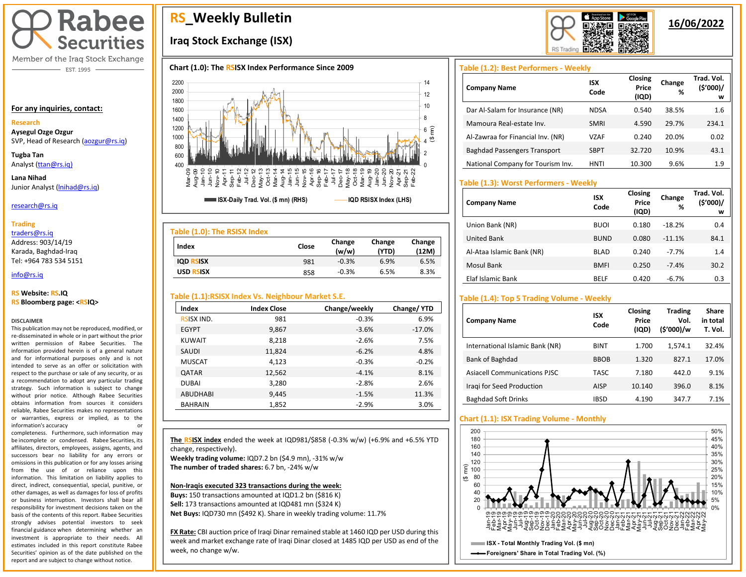

Member of the Iraq Stock Exchange - EST. 1995

### **For any inquiries, contact:**

### **Research**

**Aysegul Ozge Ozgur**  SVP, Head of Research [\(aozgur@rs.iq\)](mailto:aozgur@rs.iq)

**Tugba Tan** Analyst [\(ttan@rs.iq\)](mailto:ttan@rs.iq)

**Lana Nihad** Junior Analyst (Inihad@rs.iq)

### research@rs.iq

### **Trading**

traders@rs.iq

Address: 903/14/19 Karada, Baghdad-Iraq Tel: +964 783 534 5151

### info@rs.iq İ

### **RS Website: RS.IQ RS Bloomberg page: <RSIQ>**

### **DISCLAIMER**

This publication may not be reproduced, modified, or re-disseminated in whole or in part without the prior written permission of Rabee Securities. The information provided herein is of a general nature and for informational purposes only and is not intended to serve as an offer or solicitation with respect to the purchase or sale of any security, or as a recommendation to adopt any particular trading strategy. Such information is subject to change without prior notice. Although Rabee Securities obtains information from sources it considers reliable, Rabee Securities makes no representations or warranties, express or implied, as to the information's accuracy or

completeness. Furthermore, such information may be incomplete or condensed. Rabee Securities, its affiliates, directors, employees, assigns, agents, and successors bear no liability for any errors or omissions in this publication or for any losses arising from the use of or reliance upon this information. This limitation on liability applies to direct, indirect, consequential, special, punitive, or other damages, as well as damages for loss of profits or business interruption. Investors shall bear all responsibility for investment decisions taken on the basis of the contents of this report. Rabee Securities strongly advises potential investors to seek financial guidance when determining whether an investment is appropriate to their needs. All estimates included in this report constitute Rabee Securities' opinion as of the date published on the report and are subject to change without notice.

# **RS\_Weekly Bulletin**

# **Iraq Stock Exchange (ISX)**

## **Chart (1.0): The RSISX Index Performance Since 2009**



| Close | Change<br>(w/w) | Change<br>(YTD) | Change<br>(12M) |
|-------|-----------------|-----------------|-----------------|
| 981   | $-0.3%$         | 6.9%            | 6.5%            |
| 858   | $-0.3%$         | 6.5%            | 8.3%            |
|       |                 |                 |                 |

# **Table (1.1):RSISX Index Vs. Neighbour Market S.E.**

| Index             | <b>Index Close</b> | Change/weekly | Change/YTD |
|-------------------|--------------------|---------------|------------|
| <b>RSISX IND.</b> | 981                | $-0.3%$       | 6.9%       |
| <b>EGYPT</b>      | 9,867              | $-3.6%$       | $-17.0%$   |
| <b>KUWAIT</b>     | 8,218              | $-2.6%$       | 7.5%       |
| SAUDI             | 11,824             | $-6.2%$       | 4.8%       |
| <b>MUSCAT</b>     | 4,123              | $-0.3%$       | $-0.2%$    |
| <b>QATAR</b>      | 12,562             | $-4.1%$       | 8.1%       |
| <b>DUBAI</b>      | 3,280              | $-2.8%$       | 2.6%       |
| <b>ABUDHABI</b>   | 9,445              | $-1.5%$       | 11.3%      |
| <b>BAHRAIN</b>    | 1,852              | $-2.9%$       | 3.0%       |

**The RSISX index** ended the week at IQD981/\$858 (-0.3% w/w) (+6.9% and +6.5% YTD change, respectively). **Weekly trading volume:** IQD7.2 bn (\$4.9 mn), -31% w/w

**The number of traded shares:** 6.7 bn, -24% w/w

I

### **Non-Iraqis executed 323 transactions during the week:**

**Buys:** 150 transactions amounted at IQD1.2 bn (\$816 K) **Sell:** 173 transactions amounted at IQD481 mn (\$324 K) **Net Buys:** IQD730 mn (\$492 K). Share in weekly trading volume: 11.7%

**FX Rate:** CBI auction price of Iraqi Dinar remained stable at 1460 IQD per USD during this week and market exchange rate of Iraqi Dinar closed at 1485 IQD per USD as end of the week, no change w/w.

# **RS** Trading

# **16/06/2022**

# **Table (1.2): Best Performers - Weekly**

| <b>Company Name</b>                 | ISX<br>Code | Closing<br>Price<br>(IQD) | Change<br>% | Trad. Vol.<br>(\$'000)/<br>w |
|-------------------------------------|-------------|---------------------------|-------------|------------------------------|
| Dar Al-Salam for Insurance (NR)     | <b>NDSA</b> | 0.540                     | 38.5%       | 1.6                          |
| Mamoura Real-estate Inv.            | <b>SMRI</b> | 4.590                     | 29.7%       | 234.1                        |
| Al-Zawraa for Financial Inv. (NR)   | V7AF        | 0.240                     | 20.0%       | 0.02                         |
| <b>Baghdad Passengers Transport</b> | <b>SBPT</b> | 32.720                    | 10.9%       | 43.1                         |
| National Company for Tourism Inv.   | HNTI        | 10.300                    | 9.6%        | 1.9                          |

# **Table (1.3): Worst Performers - Weekly**

| <b>Company Name</b>       | <b>ISX</b><br>Code | Closing<br>Price<br>(IQD) | Change<br>% | Trad. Vol.<br>(\$'000)/<br>w |
|---------------------------|--------------------|---------------------------|-------------|------------------------------|
| Union Bank (NR)           | <b>BUOI</b>        | 0.180                     | $-18.2%$    | 0.4                          |
| United Bank               | <b>BUND</b>        | 0.080                     | $-11.1%$    | 84.1                         |
| Al-Ataa Islamic Bank (NR) | <b>BLAD</b>        | 0.240                     | $-7.7%$     | 1.4                          |
| Mosul Bank                | <b>BMFI</b>        | 0.250                     | $-7.4%$     | 30.2                         |
| Elaf Islamic Bank         | <b>BELF</b>        | 0.420                     | $-6.7%$     | 0.3                          |

# **Table (1.4): Top 5 Trading Volume - Weekly**

| <b>Company Name</b>                 | <b>ISX</b><br>Code | Closing<br>Price<br>(IQD) | <b>Trading</b><br>Vol.<br>(\$'000)/w | Share<br>in total<br>T. Vol. |
|-------------------------------------|--------------------|---------------------------|--------------------------------------|------------------------------|
| International Islamic Bank (NR)     | <b>BINT</b>        | 1.700                     | 1.574.1                              | 32.4%                        |
| Bank of Baghdad                     | <b>BBOB</b>        | 1.320                     | 827.1                                | 17.0%                        |
| <b>Asiacell Communications PJSC</b> | <b>TASC</b>        | 7.180                     | 442.0                                | 9.1%                         |
| Iragi for Seed Production           | AISP               | 10.140                    | 396.0                                | 8.1%                         |
| <b>Baghdad Soft Drinks</b>          | IBSD               | 4.190                     | 347.7                                | 7.1%                         |

# **Chart (1.1): ISX Trading Volume - Monthly**

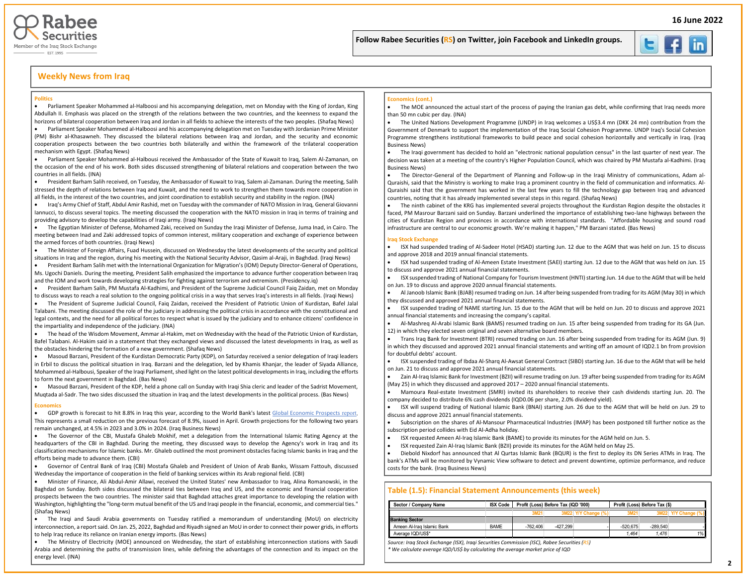



### **Weekly News from Iraq**

#### **Politics**

• Parliament Speaker Mohammed al-Halboosi and his accompanying delegation, met on Monday with the King of Jordan, King Abdullah II. Emphasis was placed on the strength of the relations between the two countries, and the keenness to expand the horizons of bilateral cooperation between Iraq and Jordan in all fields to achieve the interests of the two peoples. (Shafaq News)

• Parliament Speaker Mohammed al-Halboosi and his accompanying delegation met on Tuesday with Jordanian Prime Minister (PM) Bishr al-Khasawneh. They discussed the bilateral relations between Iraq and Jordan, and the security and economic cooperation prospects between the two countries both bilaterally and within the framework of the trilateral cooperation mechanism with Egypt. (Shafaq News)

• Parliament Speaker Mohammed al-Halbousi received the Ambassador of the State of Kuwait to Iraq, Salem Al-Zamanan, on the occasion of the end of his work. Both sides discussed strengthening of bilateral relations and cooperation between the two countries in all fields. (INA)

• President Barham Salih received, on Tuesday, the Ambassador of Kuwait to Iraq, Salem al-Zamanan. During the meeting, Salih stressed the depth of relations between Iraq and Kuwait, and the need to work to strengthen them towards more cooperation in all fields, in the interest of the two countries, and joint coordination to establish security and stability in the region. (INA)

• Iraq's Army Chief of Staff, Abdul Amir Rashid, met on Tuesday with the commander of NATO Mission in Iraq, General Giovanni Iannucci, to discuss several topics. The meeting discussed the cooperation with the NATO mission in Iraq in terms of training and providing advisory to develop the capabilities of Iraqi army. (Iraqi News)

• The Egyptian Minister of Defense, Mohamed Zaki, received on Sunday the Iraqi Minister of Defense, Juma Inad, in Cairo. The meeting between Inad and Zaki addressed topics of common interest, military cooperation and exchange of experience between the armed forces of both countries. (Iraqi News)

• The Minister of Foreign Affairs, Fuad Hussein, discussed on Wednesday the latest developments of the security and political situations in Iraq and the region, during his meeting with the National Security Advisor, Qasim al-Araji, in Baghdad. (Iraqi News)

• President Barham Salih met with the International Organization for Migration's (IOM) Deputy Director-General of Operations, Ms. Ugochi Daniels. During the meeting, President Salih emphasized the importance to advance further cooperation between Iraq and the IOM and work towards developing strategies for fighting against terrorism and extremism. (Presidency.iq)

• President Barham Salih, PM Mustafa Al-Kadhimi, and President of the Supreme Judicial Council Faiq Zaidan, met on Monday to discuss ways to reach a real solution to the ongoing political crisis in a way that serves Iraq's interests in all fields. (Iraqi News)

• The President of Supreme Judicial Council, Faiq Zaidan, received the President of Patriotic Union of Kurdistan, Bafel Jalal Talabani. The meeting discussed the role of the judiciary in addressing the political crisis in accordance with the constitutional and legal contexts, and the need for all political forces to respect what is issued by the judiciary and to enhance citizens' confidence in the impartiality and independence of the judiciary. (INA)

• The head of the Wisdom Movement, Ammar al-Hakim, met on Wednesday with the head of the Patriotic Union of Kurdistan, Bafel Talabani. Al-Hakim said in a statement that they exchanged views and discussed the latest developments in Iraq, as well as the obstacles hindering the formation of a new government. (Shafaq News)

• Masoud Barzani, President of the Kurdistan Democratic Party (KDP), on Saturday received a senior delegation of Iraqi leaders in Erbil to discuss the political situation in Iraq. Barzani and the delegation, led by Khamis Khanjar, the leader of Siyada Alliance, Mohammed al-Halbousi, Speaker of the Iraqi Parliament, shed light on the latest political developments in Iraq, including the efforts to form the next government in Baghdad. (Bas News)

• Masoud Barzani, President of the KDP, held a phone call on Sunday with Iraqi Shia cleric and leader of the Sadrist Movement,

Muqtada al-Sadr. The two sides discussed the situation in Iraq and the latest developments in the political process. (Bas News)

### **Economics**

• GDP growth is forecast to hit 8.8% in Iraq this year, according to the World Bank's lates[t Global Economic Prospects](https://www.worldbank.org/en/publication/global-economic-prospects) [report](https://www.worldbank.org/en/publication/global-economic-prospects). This represents a small reduction on the previous forecast of 8.9%, issued in April. Growth projections for the following two years remain unchanged, at 4.5% in 2023 and 3.0% in 2024. (Iraq Business News)

• The Governor of the CBI, Mustafa Ghaleb Mokhif, met a delegation from the International Islamic Rating Agency at the headquarters of the CBI in Baghdad. During the meeting, they discussed ways to develop the Agency's work in Iraq and its classification mechanisms for Islamic banks. Mr. Ghaleb outlined the most prominent obstacles facing Islamic banks in Iraq and the efforts being made to advance them. (CBI)

• Governor of Central Bank of Iraq (CBI) Mostafa Ghaleb and President of Union of Arab Banks, Wissam Fattouh, discussed Wednesday the importance of cooperation in the field of banking services within its Arab regional field. (CBI)

• Minister of Finance, Ali Abdul-Amir Allawi, received the United States' new Ambassador to Iraq, Alina Romanowski, in the Baghdad on Sunday. Both sides discussed the bilateral ties between Iraq and US, and the economic and financial cooperation prospects between the two countries. The minister said that Baghdad attaches great importance to developing the relation with Washington, highlighting the "long-term mutual benefit of the US and Iraqi people in the financial, economic, and commercial ties." (Shafaq News)

• The Iraqi and Saudi Arabia governments on Tuesday ratified a memorandum of understanding (MoU) on electricity interconnection, a report said. On Jan. 25, 2022, Baghdad and Riyadh signed an MoU in order to connect their power grids, in efforts to help Iraq reduce its reliance on Iranian energy imports. (Bas News)

• The Ministry of Electricity (MOE) announced on Wednesday, the start of establishing interconnection stations with Saudi Arabia and determining the paths of transmission lines, while defining the advantages of the connection and its impact on the energy level. (INA)

#### **Economics (cont.)**

• The MOE announced the actual start of the process of paying the Iranian gas debt, while confirming that Iraq needs more than 50 mn cubic per day. (INA)

İ

Į

• The United Nations Development Programme (UNDP) in Iraq welcomes a US\$3.4 mn (DKK 24 mn) contribution from the Government of Denmark to support the implementation of the Iraq Social Cohesion Programme. UNDP Iraq's Social Cohesion Programme strengthens institutional frameworks to build peace and social cohesion horizontally and vertically in Iraq. (Iraq Business News)

• The Iraqi government has decided to hold an "electronic national population census" in the last quarter of next year. The decision was taken at a meeting of the country's Higher Population Council, which was chaired by PM Mustafa al-Kadhimi. (Iraq Business News)

• The Director-General of the Department of Planning and Follow-up in the Iraqi Ministry of communications, Adam al-Quraishi, said that the Ministry is working to make Iraq a prominent country in the field of communication and informatics. Al-Quraishi said that the government has worked in the last few years to fill the technology gap between Iraq and advanced countries, noting that it has already implemented several steps in this regard. (Shafaq News)

• The ninth cabinet of the KRG has implemented several projects throughout the Kurdistan Region despite the obstacles it faced, PM Masrour Barzani said on Sunday. Barzani underlined the importance of establishing two-lane highways between the cities of Kurdistan Region and provinces in accordance with international standards. "Affordable housing and sound road infrastructure are central to our economic growth. We're making it happen," PM Barzani stated. (Bas News)

#### **Iraq Stock Exchange**

• ISX had suspended trading of Al-Sadeer Hotel (HSAD) starting Jun. 12 due to the AGM that was held on Jun. 15 to discuss and approve 2018 and 2019 annual financial statements.

• ISX had suspended trading of Al-Ameen Estate Investment (SAEI) starting Jun. 12 due to the AGM that was held on Jun. 15 to discuss and approve 2021 annual financial statements.

• ISX suspended trading of National Company for Tourism Investment (HNTI) starting Jun. 14 due to the AGM that will be held on Jun. 19 to discuss and approve 2020 annual financial statements.

• Al Janoob Islamic Bank (BJAB) resumed trading on Jun. 14 after being suspended from trading for its AGM (May 30) in which they discussed and approved 2021 annual financial statements.

• ISX suspended trading of NAME starting Jun. 15 due to the AGM that will be held on Jun. 20 to discuss and approve 2021 annual financial statements and increasing the company's capital.

• Al-Mashreq Al-Arabi Islamic Bank (BAMS) resumed trading on Jun. 15 after being suspended from trading for its GA (Jun. 12) in which they elected seven original and seven alternative board members.

• Trans Iraq Bank for Investment (BTRI) resumed trading on Jun. 16 after being suspended from trading for its AGM (Jun. 9) in which they discussed and approved 2021 annual financial statements and writing off an amount of IQD2.1 bn from provision for doubtful debts' account.

• ISX suspended trading of Ibdaa Al-Sharq Al-Awsat General Contract (SIBD) starting Jun. 16 due to the AGM that will be held on Jun. 21 to discuss and approve 2021 annual financial statements.

• Zain Al-Iraq Islamic Bank for Investment (BZII) will resume trading on Jun. 19 after being suspended from trading for its AGM (May 25) in which they discussed and approved 2017 – 2020 annual financial statements.

• Mamoura Real-estate Investment (SMRI) invited its shareholders to receive their cash dividends starting Jun. 20. The company decided to distribute 6% cash dividends (IQD0.06 per share, 2.0% dividend yield).

• ISX will suspend trading of National Islamic Bank (BNAI) starting Jun. 26 due to the AGM that will be held on Jun. 29 to discuss and approve 2021 annual financial statements.

• Subscription on the shares of Al-Mansour Pharmaceutical Industries (IMAP) has been postponed till further notice as the subscription period collides with Eid Al-Adha holiday.

- ISX requested Ameen Al-Iraq Islamic Bank (BAME) to provide its minutes for the AGM held on Jun. 5.
- ISX requested Zain Al-Iraq Islamic Bank (BZII) provide its minutes for the AGM held on May 25.

• Diebold Nixdorf has announced that Al Qurtas Islamic Bank (BQUR) is the first to deploy its DN Series ATMs in Iraq. The bank's ATMs will be monitored by Vynamic View software to detect and prevent downtime, optimize performance, and reduce costs for the bank. (Iraq Business News)

### **Table (1.5): Financial Statement Announcements (this week)**

| Sector / Company Name      | <b>ISX Code</b> |            | Profit (Loss) Before Tax (IQD '000) |                     | Profit (Loss) Before Tax (\$) |            |    |
|----------------------------|-----------------|------------|-------------------------------------|---------------------|-------------------------------|------------|----|
|                            |                 | 3M21       |                                     | 3M22 Y/Y Change (%) | 3M21                          |            |    |
| <b>Banking Sector</b>      |                 |            |                                     |                     |                               |            |    |
| Ameen Al-Iraq Islamic Bank | <b>BAME</b>     | $-762.406$ | $-427.299$                          |                     | $-520.675$                    | $-289.540$ |    |
| Average IQD/US\$*          |                 |            |                                     |                     | 1.464                         | 1.476      | 1% |

*Source: Iraq Stock Exchange (ISX), Iraqi Securities Commission (ISC), Rabee Securities (RS) \* We calculate average IQD/US\$ by calculating the average market price of IQD*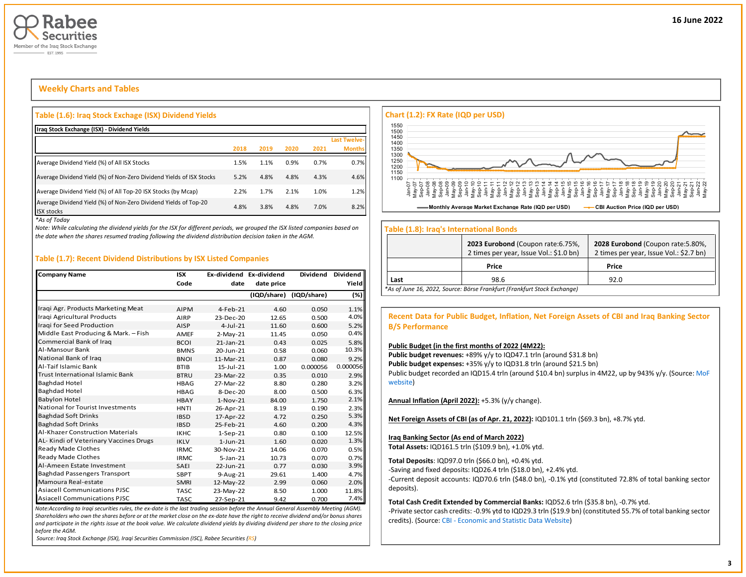

# **Weekly Charts and Tables**

### **Table (1.6): Iraq Stock Exchage (ISX) Dividend Yields**

| Iraq Stock Exchange (ISX) - Dividend Yields                                           |      |      |      |      |               |
|---------------------------------------------------------------------------------------|------|------|------|------|---------------|
|                                                                                       |      |      |      |      | Last Twelve-  |
|                                                                                       | 2018 | 2019 | 2020 | 2021 | <b>Months</b> |
| Average Dividend Yield (%) of All ISX Stocks                                          | 1.5% | 1.1% | 0.9% | 0.7% | 0.7%          |
| Average Dividend Yield (%) of Non-Zero Dividend Yields of ISX Stocks                  | 5.2% | 4.8% | 4.8% | 4.3% | 4.6%          |
| Average Dividend Yield (%) of All Top-20 ISX Stocks (by Mcap)                         | 2.2% | 1.7% | 2.1% | 1.0% | 1.2%          |
| Average Dividend Yield (%) of Non-Zero Dividend Yields of Top-20<br><b>ISX stocks</b> | 4.8% | 3.8% | 4.8% | 7.0% | 8.2%          |

*\*As of Today*

*Note: While calculating the dividend yields for the ISX for different periods, we grouped the ISX listed companies based on the date when the shares resumed trading following the dividend distribution decision taken in the AGM.* 

### **Table (1.7): Recent Dividend Distributions by ISX Listed Companies**

| <b>Company Name</b>                     | <b>ISX</b>  |                 | Ex-dividend Ex-dividend | <b>Dividend</b> | Dividend |
|-----------------------------------------|-------------|-----------------|-------------------------|-----------------|----------|
|                                         | Code        | date            | date price              |                 | Yield    |
|                                         |             |                 | (IQD/share)             | (IQD/share)     | (%)      |
| Iragi Agr. Products Marketing Meat      | <b>AIPM</b> | $4-Feh-21$      | 4.60                    | 0.050           | 1.1%     |
| Iragi Agricultural Products             | AIRP        | 23-Dec-20       | 12.65                   | 0.500           | 4.0%     |
| Iragi for Seed Production               | AISP        | $4 - 1$ ul-21   | 11.60                   | 0.600           | 5.2%     |
| Middle East Producing & Mark. - Fish    | AMEF        | $2-May-21$      | 11.45                   | 0.050           | 0.4%     |
| Commercial Bank of Iraq                 | <b>BCOI</b> | $21$ -Jan- $21$ | 0.43                    | 0.025           | 5.8%     |
| Al-Mansour Bank                         | <b>BMNS</b> | 20-Jun-21       | 0.58                    | 0.060           | 10.3%    |
| National Bank of Iraq                   | <b>BNOI</b> | 11-Mar-21       | 0.87                    | 0.080           | 9.2%     |
| Al-Taif Islamic Bank                    | <b>BTIB</b> | $15 - 11 - 21$  | 1.00                    | 0.000056        | 0.000056 |
| <b>Trust International Islamic Bank</b> | <b>BTRU</b> | 23-Mar-22       | 0.35                    | 0.010           | 2.9%     |
| <b>Baghdad Hotel</b>                    | <b>HBAG</b> | 27-Mar-22       | 8.80                    | 0.280           | 3.2%     |
| <b>Baghdad Hotel</b>                    | <b>HBAG</b> | 8-Dec-20        | 8.00                    | 0.500           | 6.3%     |
| <b>Babylon Hotel</b>                    | <b>HBAY</b> | $1-Nov-21$      | 84.00                   | 1.750           | 2.1%     |
| National for Tourist Investments        | <b>HNTI</b> | 26-Apr-21       | 8.19                    | 0.190           | 2.3%     |
| <b>Baghdad Soft Drinks</b>              | <b>IBSD</b> | 17-Apr-22       | 4.72                    | 0.250           | 5.3%     |
| <b>Baghdad Soft Drinks</b>              | <b>IBSD</b> | 25-Feb-21       | 4.60                    | 0.200           | 4.3%     |
| <b>Al-Khazer Construction Materials</b> | <b>IKHC</b> | $1-Sep-21$      | 0.80                    | 0.100           | 12.5%    |
| AL- Kindi of Veterinary Vaccines Drugs  | <b>IKLV</b> | $1$ -Jun-21     | 1.60                    | 0.020           | 1.3%     |
| Ready Made Clothes                      | <b>IRMC</b> | 30-Nov-21       | 14.06                   | 0.070           | 0.5%     |
| Ready Made Clothes                      | <b>IRMC</b> | $5 - Jan - 21$  | 10.73                   | 0.070           | 0.7%     |
| Al-Ameen Estate Investment              | SAEI        | 22-Jun-21       | 0.77                    | 0.030           | 3.9%     |
| <b>Baghdad Passengers Transport</b>     | <b>SBPT</b> | 9-Aug-21        | 29.61                   | 1.400           | 4.7%     |
| Mamoura Real-estate                     | <b>SMRI</b> | 12-May-22       | 2.99                    | 0.060           | 2.0%     |
| <b>Asiacell Communications PJSC</b>     | <b>TASC</b> | 23-May-22       | 8.50                    | 1.000           | 11.8%    |
| <b>Asiacell Communications PJSC</b>     | <b>TASC</b> | 27-Sep-21       | 9.42                    | 0.700           | 7.4%     |

*Note:According to Iraqi securities rules, the ex-date is the last trading session before the Annual General Assembly Meeting (AGM). Shareholders who own the shares before or at the market close on the ex-date have the right to receive dividend and/or bonus shares and participate in the rights issue at the book value. We calculate dividend yields by dividing dividend per share to the closing price before the AGM.*

*Source: Iraq Stock Exchange (ISX), Iraqi Securities Commission (ISC), Rabee Securities (RS)*



### **Table (1.8): Iraq's International Bonds**

|      | 2023 Eurobond (Coupon rate: 6.75%,<br>2 times per year, Issue Vol.: \$1.0 bn) | 2028 Eurobond (Coupon rate: 5.80%,<br>2 times per year, Issue Vol.: \$2.7 bn) |
|------|-------------------------------------------------------------------------------|-------------------------------------------------------------------------------|
|      | Price                                                                         | Price                                                                         |
| Last | 98.6                                                                          | 92.0                                                                          |
|      | *As of June 16, 2022, Source: Börse Frankfurt (Frankfurt Stock Exchange)      |                                                                               |

### **Recent Data for Public Budget, Inflation, Net Foreign Assets of CBI and Iraq Banking Sector B/S Performance**

### **Public Budget (in the first months of 2022 (4M22):**

Public budget revenues: +89% y/y to IQD47.1 trln (around \$31.8 bn) Public budget expenses: +35% y/y to IQD31.8 trln (around \$21.5 bn) Public budget recorded an IQD15.4 trln (around \$10.4 bn) surplus in 4M22, up by 943% y/y. (Source: MoF [website\)](http://mof.gov.iq/obs/ar/Pages/obsDocuments.aspx)

**Annual Inflation (April 2022):** +5.3% (y/y change).

**Net Foreign Assets of CBI (as of Apr. 21, 2022):** IQD101.1 trln (\$69.3 bn), +8.7% ytd.

### **Iraq Banking Sector (As end of March 2022)**

**Total Assets:** IQD161.5 trln (\$109.9 bn), +1.0% ytd.

**Total Deposits**: IQD97.0 trln (\$66.0 bn), +0.4% ytd.

-Saving and fixed deposits: IQD26.4 trln (\$18.0 bn), +2.4% ytd.

-Current deposit accounts: IQD70.6 trln (\$48.0 bn), -0.1% ytd (constituted 72.8% of total banking sector deposits).

**Total Cash Credit Extended by Commercial Banks:** IQD52.6 trln (\$35.8 bn), -0.7% ytd.

-Private sector cash credits: -0.9% ytd to IQD29.3 trln (\$19.9 bn) (constituted 55.7% of total banking sector credits). (Source: CBI - [Economic and Statistic Data Website\)](https://cbiraq.org/)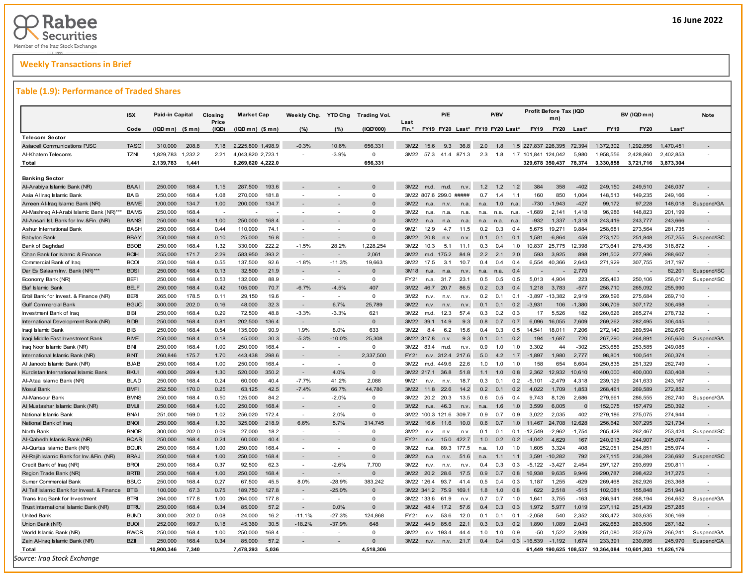# **Weekly Transactions in Brief**

### **Table (1.9): Performance of Traded Shares**

|                                            | <b>ISX</b>  | Paid-in Capital   |         | Closing<br>Price | <b>Market Cap</b> |       | Weekly Chg. YTD Chg      |                          | <b>Trading Vol.</b> | Last        |                                 | P/E   |       |      | P/BV |     |                     | Profit Before Tax (IQD<br>mn) |          |            | BV (IQD mn) |            | Note                     |
|--------------------------------------------|-------------|-------------------|---------|------------------|-------------------|-------|--------------------------|--------------------------|---------------------|-------------|---------------------------------|-------|-------|------|------|-----|---------------------|-------------------------------|----------|------------|-------------|------------|--------------------------|
|                                            | Code        | $(IQDmn)$ $(Smn)$ |         | (IQD)            | $(IQDmn)$ $($mn)$ |       | (%)                      | (%)                      | (IQD'000)           | Fin.*       | FY19 FY20 Last* FY19 FY20 Last* |       |       |      |      |     | FY19                | <b>FY20</b>                   | Last*    | FY19       | FY20        | Last*      |                          |
| <b>Telecom Sector</b>                      |             |                   |         |                  |                   |       |                          |                          |                     |             |                                 |       |       |      |      |     |                     |                               |          |            |             |            |                          |
| <b>Asiacell Communications PJSC</b>        | <b>TASC</b> | 310,000           | 208.8   | 7.18             | 2,225,800 1,498.9 |       | $-0.3%$                  | 10.6%                    | 656,331             | 3M22        | 15.6                            | 9.3   | 36.8  | 2.0  | 1.8  | 1.5 | 227.837 226.395     |                               | 72.394   | 1.372.302  | 1.292.856   | 1,470,451  |                          |
| Al-Khatem Telecoms                         | <b>TZNI</b> | 1,829,783         | 1,232.2 | 2.21             | 4,043,820 2,723.1 |       |                          | $-3.9%$                  | $\mathbf 0$         | 3M22        | 57.3 41.4 871.3                 |       |       | 2.3  | 1.8  |     | 1.7 101,841 124,042 |                               | 5,980    | 1,958,556  | 2,428,860   | 2,402,853  |                          |
| <b>Total</b>                               |             | 2,139,783         | 1,441   |                  | 6,269,620 4,222.0 |       |                          |                          | 656,331             |             |                                 |       |       |      |      |     |                     | 329,678 350,437 78,374        |          | 3,330,858  | 3,721,716   | 3,873,304  |                          |
|                                            |             |                   |         |                  |                   |       |                          |                          |                     |             |                                 |       |       |      |      |     |                     |                               |          |            |             |            |                          |
| <b>Banking Sector</b>                      |             |                   |         |                  |                   |       |                          |                          |                     |             |                                 |       |       |      |      |     |                     |                               |          |            |             |            |                          |
| Al-Arabiya Islamic Bank (NR)               | <b>BAAI</b> | 250,000           | 168.4   | 1.15             | 287,500           | 193.6 |                          |                          | $\Omega$            | 3M22        | m.d.                            | m.d.  | n.v   | 1.2  | 1.2  | 1.2 | 384                 | 358                           | $-402$   | 249,150    | 249,510     | 246,037    |                          |
| Asia Al Iraq Islamic Bank                  | <b>BAIB</b> | 250,000           | 168.4   | 1.08             | 270,000           | 181.8 | - 1                      |                          | $\Omega$            |             | 3M22 807.6 299.0 #####          |       |       | 0.7  | 1.4  | 1.1 | 160                 | 850                           | 1,004    | 148,513    | 149,235     | 249,166    |                          |
| Ameen Al-Iraq Islamic Bank (NR)            | <b>BAME</b> | 200,000           | 134.7   | 1.00             | 200,000           | 134.7 |                          |                          | $\Omega$            | 3M22        | n.a.                            | n.v.  | n.a.  | n.a. | 1.0  | n.a | $-730$              | $-1.943$                      | $-427$   | 99,172     | 97,228      | 148,018    | Suspend/GA               |
| Al-Mashreq Al-Arabi Islamic Bank (NR)***   | <b>BAMS</b> | 250,000           | 168.4   |                  |                   |       |                          |                          | $\Omega$            | 3M22        | n.a.                            | n.a.  | n.a.  | n.a. | n.a. | n.a | $-1,689$            | 2,141                         | 1,418    | 96,986     | 148,823     | 201,199    |                          |
| Al-Ansari Isl. Bank for Inv.&Fin. (NR)     | <b>BANS</b> | 250,000           | 168.4   | 1.00             | 250,000           | 168.4 |                          |                          | $\Omega$            | 3M22        | n <sub>a</sub>                  | n.a   | n.a   | n.a. | n.a. | n.a | $-932$              | 1,337                         | $-1,318$ | 243,419    | 243,777     | 243,666    | $\sim$                   |
| Ashur International Bank                   | <b>BASH</b> | 250,000           | 168.4   | 0.44             | 110,000           | 74.1  | $\overline{a}$           |                          | $\Omega$            | 9M21        | 12.9                            | 4.7   | 11.5  | 0.2  | 0.3  | 0.4 | 5,675               | 19,271                        | 9,884    | 258,681    | 273,564     | 281,735    |                          |
| <b>Babylon Bank</b>                        | <b>BBAY</b> | 250,000           | 168.4   | 0.10             | 25,000            | 16.8  |                          |                          | $\Omega$            | 3M22        | 20.8                            | n.v   | n.v.  | 0.1  | 0.1  | 0.1 | 1,581               | $-6,864$                      | 459      | 273,170    | 251,848     | 257,255    | Suspend/ISC              |
| Bank of Baghdad                            | <b>BBOB</b> | 250,000           | 168.4   | 1.32             | 330,000           | 222.2 | $-1.5%$                  | 28.2%                    | 1,228,254           | 3M22        | 10.3                            | 5.1   | 11.1  | 0.3  | 0.4  | 1.0 | 10,837              | 25,775                        | 12,398   | 273,641    | 278,436     | 318,872    | $\overline{\phantom{a}}$ |
| Cihan Bank for Islamic & Finance           | <b>BCIH</b> | 255,000           | 171.7   | 2.29             | 583,950           | 393.2 |                          |                          | 2,061               | 3M22        | m.d.                            | 175.2 | 84.9  | 2.2  | 2.1  | 2.0 | 593                 | 3.925                         | 898      | 291,502    | 277,986     | 288,607    |                          |
| Commercial Bank of Iraq                    | <b>BCOI</b> | 250,000           | 168.4   | 0.55             | 137,500           | 92.6  | $-1.8%$                  | $-11.3%$                 | 19,663              | 3M22        | 17.5                            | 3.1   | 10.7  | 0.4  | 0.4  | 0.4 | 6,554               | 40,366                        | 2,643    | 271,929    | 307,755     | 317,197    |                          |
| Dar Es Salaam Inv. Bank (NR)***            | <b>BDSI</b> | 250,000           | 168.4   | 0.13             | 32,500            | 21.9  |                          |                          | $\Omega$            | 3M18        | n.a.                            | n.a.  | n.v.  | n.a. | n.a  | 0.4 |                     |                               | 2,770    |            |             | 82,201     | Suspend/ISC              |
| Economy Bank (NR)                          | <b>BEFI</b> | 250,000           | 168.4   | 0.53             | 132,000           | 88.9  | $\sim$                   | $\overline{a}$           | $\Omega$            | FY21        | n.a.                            | 31.7  | 23.1  | 0.5  | 0.5  | 0.5 | 5,013               | 4,904                         | 223      | 255,463    | 250,106     | 256,017    | Suspend/ISC              |
| Elaf Islamic Bank                          | <b>BELF</b> | 250,000           | 168.4   | 0.42             | 105,000           | 70.7  | $-6.7%$                  | $-4.5%$                  | 407                 | 3M22        | 46.7                            | 20.7  | 86.5  | 0.2  | 0.3  | 0.4 | 1.218               | 3.783                         | $-577$   | 258,710    | 265,092     | 255,990    |                          |
| Erbil Bank for Invest. & Finance (NR)      | <b>BERI</b> | 265,000           | 178.5   | 0.11             | 29,150            | 19.6  | $\overline{\phantom{a}}$ | $\overline{\phantom{a}}$ | $\Omega$            | 3M22        | n.v.                            | n.v.  | n.v   | 0.2  | 0.1  | 0.1 | $-3.897$            | $-13,382$                     | 2,919    | 269,596    | 275,684     | 269,710    | $\sim$                   |
| <b>Gulf Commercial Bank</b>                | <b>BGUC</b> | 300,000           | 202.0   | 0.16             | 48,000            | 32.3  |                          | 6.7%                     | 25,789              | 3M22        | n.v.                            | n.v.  | n.v.  | 0.1  | 0.1  | 0.2 | $-3,931$            | 106                           | $-1,380$ | 306,709    | 307,172     | 306,498    |                          |
| Investment Bank of Iraq                    | <b>BIBI</b> | 250.000           | 168.4   | 0.29             | 72.500            | 48.8  | $-3.3%$                  | $-3.3%$                  | 621                 | 3M22        | m.d.                            | 12.3  | 57.4  | 0.3  | 0.2  | 0.3 | 17                  | 5.526                         | 182      | 260,626    | 265.274     | 278.732    |                          |
| International Development Bank (NR)        | <b>BIDB</b> | 250,000           | 168.4   | 0.81             | 202,500           | 136.4 |                          |                          | $\mathbf{0}$        | 3M22        | 39.1                            | 14.9  | 9.3   | 0.8  | 0.7  | 0.7 | 6,096               | 16,055                        | 7,609    | 269,262    | 282,495     | 306,445    |                          |
| Iraqi Islamic Bank                         | <b>BIB</b>  | 250.000           | 168.4   | 0.54             | 135,000           | 90.9  | 1.9%                     | 8.0%                     | 633                 | 3M22        | 8.4                             | 6.2   | 15.6  | 0.4  | 0.3  | 0.5 | 14.541              | 18.011                        | 7.206    | 272,140    | 289.594     | 282.676    |                          |
| Iraqi Middle East Investment Bank          | <b>BIME</b> | 250,000           | 168.4   | 0.18             | 45,000            | 30.3  | $-5.3%$                  | $-10.0%$                 | 25,308              |             | 3M22 317.8                      | n.v   | 9.3   | 0.1  | 0.1  | 0.2 | 194                 | $-1.687$                      | 720      | 267,290    | 264,891     | 265,650    | Suspend/GA               |
| Iraq Noor Islamic Bank (NR)                | <b>BINI</b> | 250.000           | 168.4   | 1.00             | 250,000           | 168.4 |                          |                          | $\mathbf 0$         | 3M22        | 83.4                            | m.d.  | n.v   | 0.9  | 1.0  | 1.0 | 3.302               | 44                            | $-302$   | 253,686    | 253,585     | 249,085    |                          |
| International Islamic Bank (NR)            | <b>BINT</b> | 260,846           | 175.7   | 1.70             | 443,438           | 298.6 |                          |                          | 2.337.500           | FY21        | n.v.                            | 312.4 | 217.6 | 5.0  | 4.2  | 1.7 | $-1.897$            | 1.980                         | 2,777    | 98,801     | 100,541     | 260,374    | $\overline{a}$           |
| Al Janoob Islamic Bank (NR)                | <b>BJAB</b> | 250,000           | 168.4   | 1.00             | 250,000           | 168.4 |                          |                          | $\Omega$            | 3M22        | m.d.                            | 449.6 | 22.6  | 1.0  | 1.0  | 1.0 | 158                 | 654                           | 6,604    | 250,835    | 251,329     | 262,749    | $\overline{\phantom{a}}$ |
| Kurdistan International Islamic Bank       | <b>BKUI</b> | 400,000           | 269.4   | 1.30             | 520,000           | 350.2 | $\sim$                   | 4.0%                     | $\mathbf{0}$        |             | 3M22 217.1                      | 36.8  | 51.8  | 1.1  | 1.0  | 0.8 | 2.362               | 12.932                        | 10,610   | 400,000    | 400,000     | 630,408    | $\overline{a}$           |
| Al-Ataa Islamic Bank (NR)                  | <b>BLAD</b> | 250,000           | 168.4   | 0.24             | 60,000            | 40.4  | $-7.7%$                  | 41.2%                    | 2.088               | 9M21        | n.v.                            | n.v.  | 18.7  | 0.3  | 0.1  | 0.2 | $-5.101$            | $-2.479$                      | 4.318    | 239,129    | 241,633     | 243,167    | $\overline{\phantom{a}}$ |
| <b>Mosul Bank</b>                          | <b>BMFI</b> | 252.500           | 170.0   | 0.25             | 63,125            | 42.5  | $-7.4%$                  | 66.7%                    | 44.780              | 3M22        | 11.8                            | 22.6  | 14.2  | 0.2  | 0.1  | 02  | 4.022               | 1,709                         | 1,853    | 268,461    | 269,589     | 272.852    |                          |
| Al-Mansour Bank                            | <b>BMNS</b> | 250,000           | 168.4   | 0.50             | 125,000           | 84.2  | $\overline{\phantom{a}}$ | $-2.0%$                  | $\mathbf{0}$        | 3M22        | 20.2                            | 20.3  | 13.5  | 0.6  | 0.5  | 0.4 | 9.743               | 8,126                         | 2,686    | 279,661    | 286,555     | 282,740    | Suspend/GA               |
| Al Mustashar Islamic Bank (NR)             | <b>BMUI</b> | 250,000           | 168.4   | 1.00             | 250,000           | 168.4 | $\sim$                   | $\overline{\phantom{a}}$ | $\Omega$            | 3M22        | n <sub>a</sub>                  | 46.3  | n.v.  | n.a. | 1.6  | 1.0 | 3.599               | 6.005                         | $\Omega$ | 152,075    | 157,479     | 250,392    |                          |
| National Islamic Bank                      | <b>BNAI</b> | 251,000           | 169.0   | 1.02             | 256,020           | 172.4 | $\sim$                   | 2.0%                     | $\Omega$            |             | 3M22 100.3 121.6                |       | 309.7 | 0.9  | 0.7  | 0.9 | 3.022               | 2.035                         | 402      | 279,186    | 275,075     | 274,944    | $\overline{a}$           |
| National Bank of Iraq                      | <b>BNOI</b> | 250,000           | 168.4   | 1.30             | 325,000           | 218.9 | 6.6%                     | 5.7%                     | 314,745             | 3M22        | 16.6                            | 116   | 10.0  | 0.6  | 0.7  | 1.0 | 11.467              | 24,708                        | 12.628   | 256,642    | 307,295     | 321,734    |                          |
| North Bank                                 | <b>BNOR</b> | 300,000           | 202.0   | 0.09             | 27,000            | 18.2  |                          |                          | $\Omega$            | 3M22        | n.v.                            | n.v.  | n.v.  | 0.1  | 0.1  | 0.1 | $-12.549$           | $-2,962$                      | $-1,754$ | 265,428    | 262,467     | 253,424    | Suspend/ISC              |
| Al-Qabedh Islamic Bank (NR)                | <b>BQAB</b> | 250.000           | 168.4   | 0.24             | 60,000            | 40.4  |                          |                          | $\Omega$            | <b>FY21</b> | n.v.                            | 15.0  | 422.7 | 1.0  | 0.2  | 02  | $-4.042$            | 4.629                         | 167      | 240,913    | 244,907     | 245,074    |                          |
| Al-Qurtas Islamic Bank (NR)                | <b>BQUR</b> | 250,000           | 168.4   | 1.00             | 250,000           | 168.4 | $\overline{a}$           |                          | $\Omega$            | 3M22        | n.a.                            | 89.3  | 177.5 | n.a. | 1.0  | 1.0 | 1,605               | 3,324                         | 408      | 252,051    | 254,851     | 255,974    |                          |
| Al-Rajih Islamic Bank for Inv.&Fin. (NR)   | <b>BRAJ</b> | 250,000           | 168.4   | 1.00             | 250,000           | 168.4 |                          |                          | $\Omega$            | 3M22        | n <sub>a</sub>                  | n.v.  | 51.6  | n.a. | 1.1  | 1.1 | 3.591               | $-10.282$                     | 792      | 247,115    | 236.284     | 236.692    | Suspend/ISC              |
| Credit Bank of Iraq (NR)                   | <b>BROI</b> | 250,000           | 168.4   | 0.37             | 92,500            | 62.3  | - 1                      | $-2.6%$                  | 7,700               | 3M22        | n.v.                            | n.v.  | n.v.  | 0.4  | 0.3  | 0.3 | $-5,122$            | $-3,427$                      | 2,454    | 297,127    | 293,699     | 290,811    | $\overline{\phantom{a}}$ |
| Region Trade Bank (NR)                     | <b>BRTB</b> | 250,000           | 168.4   | 1.00             | 250,000           | 168.4 | $\sim$                   |                          | $\Omega$            | 3M22        | 20.2                            | 28.6  | 17.5  | 0.9  | 0.7  | 0.8 | 16.938              | 9.635                         | 9.946    | 290.787    | 298.422     | 317.275    | $\sim$                   |
| Sumer Commercial Bank                      | <b>BSUC</b> | 250,000           | 168.4   | 0.27             | 67,500            | 45.5  | 8.0%                     | $-28.9%$                 | 383,242             |             | 3M22 126.4                      | 93.7  | 41.4  | 0.5  | 0.4  | 0.3 | 1,187               | 1,255                         | $-629$   | 269,468    | 262,926     | 263,368    | $\overline{\phantom{a}}$ |
| Al Taif Islamic Bank for Invest. & Finance | <b>BTIB</b> | 100,000           | 67.3    | 0.75             | 189,750           | 127.8 |                          | $-25.0%$                 | $\Omega$            |             | 3M22 341.2                      | 75.9  | 169.1 | 1.8  | 1.0  | 0.8 | 622                 | 2,518                         | $-515$   | 102,081    | 155,848     | 251,943    |                          |
| Trans Iraq Bank for Investment             | <b>BTRI</b> | 264.000           | 177.8   | 1.00             | 264.000           | 177.8 |                          | $\overline{a}$           | $\Omega$            |             | 3M22 133.6                      | 61.9  | n.v   | 0.7  | 0.7  | 1.0 | 1.641               | 3,755                         | $-163$   | 266.941    | 268.194     | 264,652    | Suspend/GA               |
| Trust International Islamic Bank (NR)      | <b>BTRU</b> | 250,000           | 168.4   | 0.34             | 85,000            | 57.2  |                          | 0.0%                     | $\Omega$            | 3M22        | 48.4                            | 17.2  | 57.6  | 0.4  | 0.3  | 0.3 | 1,972               | 5,977                         | 1,019    | 237,112    | 251,439     | 257,285    |                          |
| <b>United Bank</b>                         | <b>BUND</b> | 300,000           | 202.0   | 0.08             | 24,000            | 16.2  | $-11.1%$                 | $-27.3%$                 | 124,868             | FY21        | n v                             | 53.6  | 12.0  | 0.1  | 0.1  | 01  | $-2,058$            | 540                           | 2,352    | 303,472    | 303,635     | 306,169    | $\overline{\phantom{a}}$ |
| Union Bank (NR)                            | <b>BUOI</b> | 252,000           | 169.7   | 0.18             | 45,360            | 30.5  | $-18.2%$                 | $-37.9%$                 | 648                 | 3M22        | 44.9                            | 85.6  | 22.1  | 0.3  | 0.3  | 0.2 | 1,890               | 1,089                         | 2,043    | 262,683    | 263,506     | 267,182    |                          |
| World Islamic Bank (NR)                    | <b>BWOR</b> | 250,000           | 168.4   | 1.00             | 250,000           | 168.4 |                          |                          | $\Omega$            | 3M22        | n.v. 193.4                      |       | 44.4  | 1.0  | 1.0  | 09  | $-50$               | 1,522                         | 2,939    | 251,080    | 252,679     | 266,241    | Suspend/GA               |
| Zain Al-Iraq Islamic Bank (NR)             | <b>BZII</b> | 250,000           | 168.4   | 0.34             | 85,000            | 57.2  |                          |                          | $\mathbf 0$         | 3M22        | n.v.                            | n.v.  | 21.7  | 0.4  | 0.4  | 0.3 | $-16,539$           | $-1,192$                      | 1,674    | 233,391    | 230,896     | 245,970    | Suspend/GA               |
| Total                                      |             | 10,900,346        | 7,340   |                  | 7,478,293         | 5,036 |                          |                          | 4,518,306           |             |                                 |       |       |      |      |     |                     | 61,449 190,625 108,537        |          | 10,364,084 | 10,601,303  | 11,626,176 |                          |
| Source: Iraq Stock Exchange                |             |                   |         |                  |                   |       |                          |                          |                     |             |                                 |       |       |      |      |     |                     |                               |          |            |             |            |                          |

Ī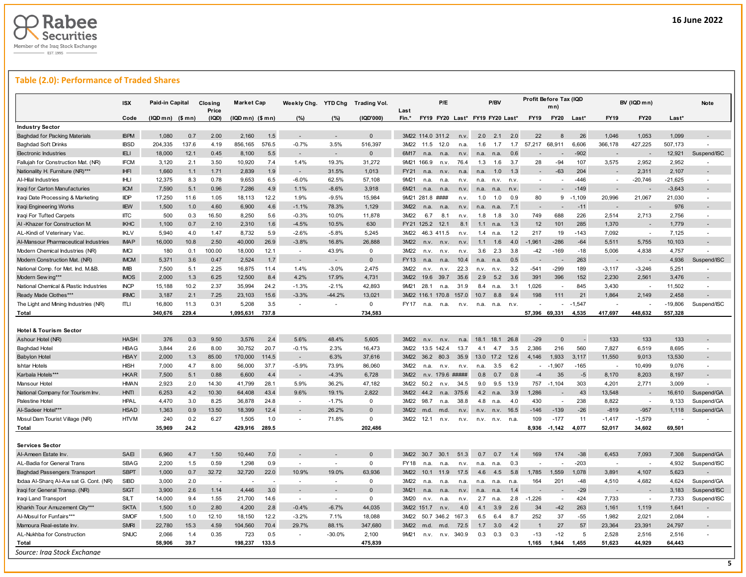

# **Table (2.0): Performance of Traded Shares**

|                                                                                                                                                                           | <b>ISX</b>  | Paid-in Capital   |             | Closing<br>Price | <b>Market Cap</b> |              | Weekly Chg. YTD Chg      |                          | <b>Trading Vol.</b> | Last        |                  | P/E              |                                 |      | P/BV |      | Profit Before Tax (IQD   | mn)            |            |                          | BV (IQD mn)              |                 | <b>Note</b> |
|---------------------------------------------------------------------------------------------------------------------------------------------------------------------------|-------------|-------------------|-------------|------------------|-------------------|--------------|--------------------------|--------------------------|---------------------|-------------|------------------|------------------|---------------------------------|------|------|------|--------------------------|----------------|------------|--------------------------|--------------------------|-----------------|-------------|
|                                                                                                                                                                           | Code        | $(IQDmn)$ $($mn)$ |             | (IQD)            | (IQD mn) (\$ mn)  |              | (%)                      | (%)                      | (IQD'000)           | Fin.*       |                  |                  | FY19 FY20 Last* FY19 FY20 Last* |      |      |      | <b>FY19</b>              | <b>FY20</b>    | Last*      | <b>FY19</b>              | <b>FY20</b>              | Last*           |             |
| <b>Industry Sector</b>                                                                                                                                                    |             |                   |             |                  |                   |              |                          |                          |                     |             |                  |                  |                                 |      |      |      |                          |                |            |                          |                          |                 |             |
| <b>Baghdad for Packing Materials</b>                                                                                                                                      | <b>IBPM</b> | 1,080             | 0.7         | 2.00             | 2,160             | 1.5          | $\sim$                   | ٠                        | $\Omega$            |             | 3M22 114.0 311.2 |                  | n <sub>V</sub>                  | 2.0  | 2.1  | 2.0  | 22                       | 8              | 26         | 1,046                    | 1,053                    | 1,099           |             |
| <b>Baghdad Soft Drinks</b>                                                                                                                                                | <b>IBSD</b> | 204,335           | 137.6       | 4.19             | 856,165           | 576.5        | $-0.7%$                  | 3.5%                     | 516,397             | 3M22        | 11.5             | 12.0             | n.a.                            | 1.6  | 1.7  | 1.7  | 57,217                   | 68,911         | 6,606      | 366,178                  | 427,225                  | 507,173         |             |
| <b>Electronic Industries</b>                                                                                                                                              | <b>IELI</b> | 18,000            | 12.1        | 0.45             | 8,100             | 5.5          | $\overline{\phantom{a}}$ | $\overline{\phantom{0}}$ | $\mathbf{0}$        | 6M17        | n.a.             | n.a              | n.v.                            | n.a  | n.a. | 0.6  |                          |                | $-902$     |                          |                          | 12,921          | Suspend/ISC |
| Fallujah for Construction Mat. (NR)                                                                                                                                       | <b>IFCM</b> | 3,120             | 2.1         | 3.50             | 10,920            | 7.4          | 1.4%                     | 19.3%                    | 31,272              |             | 9M21 166.9       | n.v.             | 76.4                            | 1.3  | 1.6  | 3.7  | 28                       | $-94$          | 107        | 3,575                    | 2,952                    | 2,952           |             |
| Nationality H. Furniture (NR)***                                                                                                                                          | <b>IHFI</b> | 1,660             | 1.1         | 1.71             | 2,839             | 1.9          |                          | 31.5%                    | 1,013               | <b>FY21</b> | n.a.             | n.v              | n.a.                            | n.a  | 1.0  | 1.3  |                          | $-63$          | 204        |                          | 2.311                    | 2,107           |             |
| Al-Hilal Industries                                                                                                                                                       | <b>IHLI</b> | 12,375            | 8.3         | 0.78             | 9,653             | 6.5          | $-6.0%$                  | 62.5%                    | 57,108              | 9M21        | n.a.             | n.a.             | n.v.                            | n.a. | n.v. | n.v  | $\sim$                   |                | $-446$     |                          | $-20,746$                | $-21,625$       |             |
| Iraqi for Carton Manufacturies                                                                                                                                            | <b>IICM</b> | 7,590             | 5.1         | 0.96             | 7,286             | 4.9          | 1.1%                     | $-8.6%$                  | 3,918               | 6M21        | n.a.             | n.a              | n.v.                            | n.a  | n.a. | n.v  | $\sim$                   |                | $-149$     |                          |                          | $-3,643$        |             |
| Iraqi Date Processing & Marketing                                                                                                                                         | <b>IIDP</b> | 17,250            | 11.6        | 1.05             | 18,113            | 12.2         | 1.9%                     | $-9.5%$                  | 15,984              |             | 9M21 281.8       | ####             | n.v.                            | 1.0  | 1.0  | 0.9  | 80                       | 9              | $-1,109$   | 20,996                   | 21,067                   | 21,030          |             |
| Iraqi Engineering Works                                                                                                                                                   | <b>IIEW</b> | 1,500             | 1.0         | 4.60             | 6,900             | 4.6          | $-1.1%$                  | 78.3%                    | 1,129               | 3M22        | n.a.             | n.a              | n.v.                            | n.a  | n.a. | 7.1  |                          |                | $-11$      |                          |                          | 976             |             |
| Iraqi For Tufted Carpets                                                                                                                                                  | <b>IITC</b> | 500               | 0.3         | 16.50            | 8,250             | 5.6          | $-0.3%$                  | 10.0%                    | 11.878              | 3M22        | 6.7              | 8.1              | n.v.                            | 1.8  | 1.8  | 3.0  | 749                      | 688            | 226        | 2,514                    | 2.713                    | 2,756           |             |
| AI-Khazer for Construction M.                                                                                                                                             | <b>IKHC</b> | 1,100             | 0.7         | 2.10             | 2,310             | 1.6          | $-4.5%$                  | 10.5%                    | 630                 |             | FY21 125.2       | 12.1             | 8.1                             | 1.1  | n.a. | 1.3  | 12                       | 101            | 285        | 1,370                    |                          | 1,779           |             |
| AL-Kindi of Veterinary Vac                                                                                                                                                | <b>IKLV</b> | 5,940             | 4.0         | 1.47             | 8,732             | 5.9          | $-2.6%$                  | $-5.8%$                  | 5,245               | 3M22        |                  | 46.3 411.5       | n.v.                            | 1.4  | n.a. | 1.2  | 217                      | 19             | $-143$     | 7,092                    |                          | 7,125           |             |
| Al-Mansour Pharmaceutical Industries                                                                                                                                      | <b>IMAP</b> | 16,000            | 10.8        | 2.50             | 40,000            | 26.9         | $-3.8%$                  | 16.8%                    | 26,888              | 3M22        | n.v.             | n.v              | n.v.                            | 11   | 1.6  | 4.0  | $-1,961$                 | $-286$         | $-64$      | 5,511                    | 5,755                    | 10,103          |             |
| Modern Chemical Industries (NR)                                                                                                                                           | <b>IMCI</b> | 180               | 0.1         | 100.00           | 18,000            | 12.1         | $\sim$                   | 43.9%                    | $\Omega$            | 3M22        | n.v.             | n.v              | n.v.                            | 3.6  | 2.3  | 3.8  | -42                      | $-169$         | $-18$      | 5,006                    | 4,838                    | 4,757           |             |
| Modern Construction Mat. (NR)                                                                                                                                             | <b>IMCM</b> | 5,371             | 3.6         | 0.47             | 2,524             | 1.7          | $\overline{\phantom{a}}$ | $\overline{\phantom{a}}$ | $\Omega$            | FY13        | n.a.             | n.a              | 10.4                            | n.a  | n.a. | 0.5  |                          |                | 263        |                          |                          | 4,936           | Suspend/ISC |
| National Comp. for Met. Ind. M.&B                                                                                                                                         | <b>IMIB</b> | 7,500             | 5.1         | 2.25             | 16,875            | 11.4         | 1.4%                     | $-3.0%$                  | 2,475               | 3M22        | n.v.             | n.v.             | 22.3                            | n.v  | n.v. | 3.2  | $-541$                   | $-299$         | 189        | $-3,117$                 | $-3,246$                 | 5,251           |             |
| Modern Sew ing***                                                                                                                                                         | <b>IMOS</b> | 2,000             | 1.3         | 6.25             | 12,500            | 8.4          | 4.2%                     | 17.9%                    | 4,731               | 3M22        | 19.6             | 39.7             | 35.6                            | 2.9  | 5.2  | 3.6  | 391                      | 396            | 152        | 2,230                    | 2,561                    | 3,476           |             |
| National Chemical & Plastic Industries                                                                                                                                    | <b>INCP</b> | 15,188            | 10.2        | 2.37             | 35.994            | 24.2         | $-1.3%$                  | $-2.1%$                  | 42,893              | 9M21        | 28.1             | n.a.             | 31.9                            | 8.4  | n.a. | 3.1  | 1.026                    |                | 845        | 3,430                    |                          | 11,502          |             |
| Ready Made Clothes***                                                                                                                                                     | <b>IRMC</b> | 3,187             | 2.1         | 7.25             | 23,103            | 15.6         | $-3.3%$                  | $-44.2%$                 | 13,021              | 3M22        | 116.1            | 170.8            | 157.0                           | 10.7 | 8.8  | 9.4  | 198                      | 111            | 21         | 1,864                    | 2,149                    | 2,458           |             |
| The Light and Mining Industries (NR)                                                                                                                                      | ITLI        | 16,800            | 11.3        | 0.31             | 5,208             | 3.5          | ÷                        | ÷                        | $\mathbf 0$         | <b>FY17</b> | n.a.             | n.a.             | n.v.                            | n.a. | n.a. | n.v  |                          |                | $-1,547$   |                          |                          | $-19,806$       | Suspend/ISC |
| Total                                                                                                                                                                     |             | 340,676           | 229.4       |                  | 1,095,631         | 737.8        |                          |                          | 734,583             |             |                  |                  |                                 |      |      |      | 57,396                   | 69,331         | 4,535      | 417,697                  | 448,632                  | 557,328         |             |
| <b>Hotel &amp; Tourism Sector</b><br>Ashour Hotel (NR                                                                                                                     | <b>HASH</b> | 376               | 0.3         | 9.50             | 3,576             | 2.4          | 5.6%                     | 48.4%                    | 5,605               | 3M22        | n.v.             | n.v              | n.a.                            | 18.1 | 18.1 | 26.8 | $-29$                    | $\Omega$       |            | 133                      | 133                      | 133             |             |
| <b>Baghdad Hotel</b>                                                                                                                                                      | <b>HBAG</b> | 3,844             | 2.6         | 8.00             | 30,752            | 20.7         | $-0.1%$                  | 2.3%                     | 16,473              | 3M22        |                  | 13.5 142.4       | 13.7                            | 4.1  | 4.7  | 3.5  | 2,386                    | 216            | 560        | 7,827                    | 6,519                    | 8,695           |             |
| <b>Babylon Hotel</b>                                                                                                                                                      | <b>HBAY</b> | 2,000             | 1.3         | 85.00            | 170,000           | 114.5        | $\sim$                   | 6.3%                     | 37,616              | 3M22        |                  | 36.2 80.3        | 35.9                            | 13.0 | 17.2 | 12.6 | 4.146                    | 1.933          | 3,117      | 11,550                   | 9,013                    | 13,530          |             |
| <b>Ishtar Hotels</b>                                                                                                                                                      | <b>HISH</b> | 7,000             | 4.7         | 8.00             | 56,000            | 37.7         | $-5.9%$                  | 73.9%                    | 86,060              | 3M22        | n.a              | n.v.             | n.v.                            | n.a  | 3.5  | 6.2  | $\overline{\phantom{a}}$ | $-1,907$       | $-165$     | $\overline{\phantom{a}}$ | 10,499                   | 9,076           |             |
| Karbala Hotels***                                                                                                                                                         | <b>HKAR</b> | 7,500             | 5.1         | 0.88             | 6,600             | 4.4          | $\overline{\phantom{a}}$ | $-4.3%$                  | 6,728               | 3M22        |                  | n.v. 179.6 ##### |                                 | 0.8  | 0.7  | 0.8  | $-4$                     | 35             | $-5$       | 8,170                    | 8,203                    | 8,197           |             |
| Mansour Hotel                                                                                                                                                             | <b>HMAN</b> | 2.923             | 2.0         | 14.30            | 41,799            | 28.1         | 5.9%                     | 36.2%                    | 47.182              | 3M22        | 50.2             | n.v.             | 34.5                            | 9.0  | 9.5  | 13.9 | 757                      | $-1.104$       | 303        | 4,201                    | 2,771                    | 3.009           |             |
| National Company for Tourism Inv                                                                                                                                          | <b>HNTI</b> | 6.253             | 4.2         | 10.30            | 64,408            | 43.4         | 9.6%                     | 19.1%                    | 2.822               | 3M22        | 44.2             | n.a.             | 375.6                           | 4.2  | n.a. | 3.9  | 1.286                    |                | 43         | 13,548                   |                          | 16,610          | Suspend/GA  |
| Palestine Hotel                                                                                                                                                           | <b>HPAL</b> | 4,470             | 3.0         | 8.25             | 36,878            | 24.8         | $\sim$                   | $-1.7%$                  | $\Omega$            | 3M22        | 98.7             | n.a.             | 38.8                            | 4.8  | n.a. | 4.0  | 430                      | ٠              | 238        | 8,822                    | $\overline{\phantom{a}}$ | 9,133           | Suspend/GA  |
| Al-Sadeer Hotel***                                                                                                                                                        | <b>HSAD</b> | 1,363             | 0.9         | 13.50            | 18,399            | 12.4         |                          | 26.2%                    | $\Omega$            | 3M22        | m.d.             | m.d.             | n.v.                            | n.v  | n.v. | 16.5 | $-146$                   | $-139$         | $-26$      | $-819$                   | $-957$                   | 1,118           | Suspend/GA  |
| Mosul Dam Tourist Village (NR)                                                                                                                                            | <b>HTVM</b> | 240               | 0.2         | 6.27             | 1,505             | 1.0          | $\blacksquare$           | 71.8%                    | $\mathbf 0$         | 3M22        | 12.1             | n.v.             | n.v.                            | n.v. | n.v. | n.a  | 109                      | $-177$         | 11         | $-1,417$                 | $-1,579$                 |                 |             |
| Total                                                                                                                                                                     |             | 35,969            | 24.2        |                  | 429,916           | 289.5        |                          |                          | 202,486             |             |                  |                  |                                 |      |      |      | 8,936                    | $-1,142$       | 4,077      | 52,017                   | 34,602                   | 69,501          |             |
|                                                                                                                                                                           |             |                   |             |                  |                   |              |                          |                          |                     |             |                  |                  |                                 |      |      |      |                          |                |            |                          |                          |                 |             |
| <b>Services Sector</b>                                                                                                                                                    |             |                   |             |                  |                   |              |                          |                          |                     |             |                  |                  |                                 |      |      |      |                          |                |            |                          |                          |                 |             |
| Al-Ameen Estate Inv                                                                                                                                                       | SAEI        | 6,960             | 4.7         | 1.50             | 10.440            | 7.0          |                          |                          | $\Omega$            | 3M22        | 30.7             | 30.1             | 51.3                            | 0.7  | 0.7  | 1.4  | 169                      | 174            | $-38$      | 6,453                    | 7,093                    | 7,308           | Suspend/GA  |
|                                                                                                                                                                           | <b>SBAG</b> | 2,200             | 1.5         | 0.59             | 1,298             | 0.9          | $\sim$                   | ÷.                       | 0<br>63.936         | <b>FY18</b> | n.a.             | n.a              | n.v.                            | n.a. | n.a. | 0.3  |                          |                | $-203$     | ÷,                       |                          | 4,932           | Suspend/ISC |
|                                                                                                                                                                           |             |                   |             |                  |                   |              | 10.9%                    | 19.0%                    |                     | 3M22        | 10.1             | 11.9             | 17.5                            | 4.6  | 4.5  | 5.8  | 1,785                    | 1,559          | 1,078      | 3,891                    | 4,107                    | 5,623           |             |
|                                                                                                                                                                           | <b>SBPT</b> | 1,000             | 0.7         | 32.72            | 32,720            | 22.0         |                          |                          |                     |             |                  |                  |                                 |      |      |      |                          |                |            |                          |                          |                 |             |
|                                                                                                                                                                           | <b>SIBD</b> | 3,000             | 2.0         |                  |                   |              |                          |                          | $\Omega$            | 3M22        | n.a.             | n.a              | n.a.                            | n.a  | n.a. | n.a  | 164                      | 201            | $-48$      | 4,510                    | 4,682                    | 4,624           | Suspend/GA  |
|                                                                                                                                                                           | <b>SIGT</b> | 3,900             | 2.6         | 1.14             | 4,446             | 3.0          |                          |                          | $\Omega$            | 3M21        |                  |                  |                                 | n.a  |      | 1.4  |                          |                | $-29$      |                          |                          | 3,183           | Suspend/ISC |
|                                                                                                                                                                           | SILT        | 14,000            | 9.4         | 1.55             | 21,700            | 14.6         | $\sim$                   | $\sim$                   | $\Omega$            | 3M20        | n.v.             | n.a              | n.v.                            | 2.7  | n.a. | 2.8  | $-1,226$                 | ٠              | 424        | 7,733                    |                          | 7,733           | Suspend/ISC |
| Iraqi Land Transport<br>Kharkh Tour Amuzement City***                                                                                                                     | <b>SKTA</b> | 1,500             | 1.0         | 2.80             | 4.200             | 2.8          | $-0.4%$                  | $-6.7%$                  | 44.035              |             | 3M22 151.7       | n.v              | 4.0                             | 4.1  | 3.9  | 2.6  | 34                       | $-42$          | 263        | 1,161                    | 1,119                    | 1,641           |             |
| AL-Badia for General Trans<br><b>Baghdad Passengers Transport</b><br>Ibdaa Al-Sharq Al-Aw sat G. Cont. (NR)<br>Iraqi for General Transp. (NR)<br>Al-Mosul for Funfairs*** | <b>SMOF</b> | 1,500             | 1.0         | 12.10            | 18,150            | 12.2         | $-3.2%$                  | 7.1%                     | 18,088              | 3M22        |                  | 50.7 346.2       | 167.3                           | 6.5  | 6.4  | 8.7  | 252                      | 37             | $-55$      | 1,982                    | 2,021                    | 2,084           |             |
| Mamoura Real-estate Inv                                                                                                                                                   | <b>SMRI</b> | 22,780            | 15.3        | 4.59             | 104,560           | 70.4         | 29.7%                    | 88.1%                    | 347,680             | 3M22        | m.d.             | m.d.             | 72.5                            | 1.7  | 3.0  | 4.2  |                          | 27             | 57         | 23,364                   | 23,391                   | 24,797          |             |
| AL-Nukhba for Construction<br>Total                                                                                                                                       | SNUC        | 2,066<br>58,906   | 1.4<br>39.7 | 0.35             | 723<br>198,237    | 0.5<br>133.5 |                          | $-30.0%$                 | 2,100<br>475,839    | 9M21        | n.v.             | n.v.             | 340.9                           | 0.3  | 0.3  | 0.3  | $-13$<br>1,165           | $-12$<br>1,944 | 5<br>1,455 | 2,528<br>51,623          | 2,516<br>44,929          | 2,516<br>64,443 |             |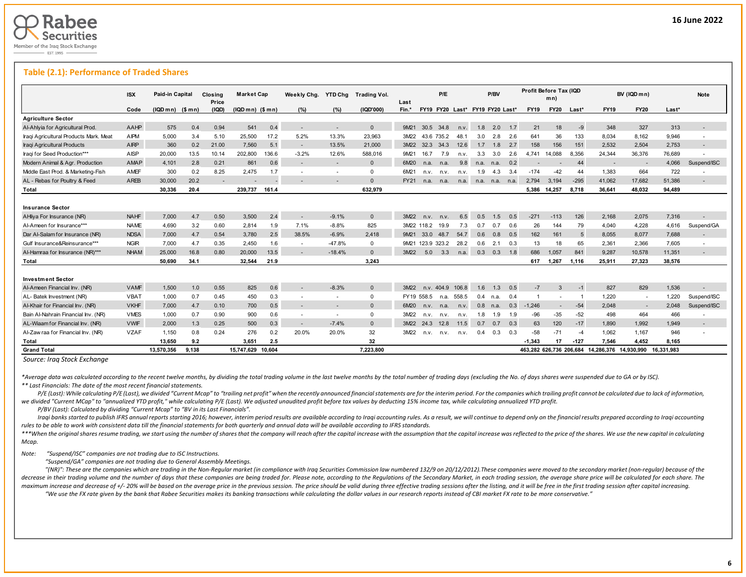

### **Table (2.1): Performance of Traded Shares**

|                                        | <b>ISX</b>  | Paid-in Capital |        | Closina<br>Price         | <b>Market Cap</b> |        | Weekly Chg.              | <b>YTD Chg</b>           | Trading Vol. | Last        |             | P/E        |                                 |      | P/BV |       |             | Profit Before Tax (IQD<br>mn) |        |                                               | BV (IQD mn) |            | <b>Note</b>              |
|----------------------------------------|-------------|-----------------|--------|--------------------------|-------------------|--------|--------------------------|--------------------------|--------------|-------------|-------------|------------|---------------------------------|------|------|-------|-------------|-------------------------------|--------|-----------------------------------------------|-------------|------------|--------------------------|
|                                        | Code        | (IQD mn)        | (\$mn) | (IQD)                    | $(IQDmn)$ $(Smn)$ |        | $(\% )$                  | (%)                      | (IQD'000)    | Fin.*       |             |            | FY19 FY20 Last* FY19 FY20 Last* |      |      |       | <b>FY19</b> | <b>FY20</b>                   | Last*  | <b>FY19</b>                                   | <b>FY20</b> | Last*      |                          |
| <b>Agriculture Sector</b>              |             |                 |        |                          |                   |        |                          |                          |              |             |             |            |                                 |      |      |       |             |                               |        |                                               |             |            |                          |
| Al-Ahlyia for Agricultural Prod.       | AAHP        | 575             | 0.4    | 0.94                     | 541               | 0.4    | $\overline{\phantom{a}}$ |                          | $\Omega$     | 9M21        | 30.5        | 34.8       | n.v.                            | 1.8  | 2.0  | 1.7   | 21          | 18                            | $-9$   | 348                                           | 327         | 313        |                          |
| Iraqi Agricultural Products Mark. Meat | AIPM        | 5,000           | 3.4    | 5.10                     | 25,500            | 17.2   | 5.2%                     | 13.3%                    | 23,963       | 3M22        |             | 43.6 735.2 | 48.1                            | 3.0  | 2.8  | - 2.6 | 641         | 36                            | 133    | 8,034                                         | 8,162       | 9,946      | $\overline{\phantom{a}}$ |
| Iraqi Agricultural Products            | <b>AIRP</b> | 360             | 0.2    | 21.00                    | 7.560             | 5.1    | $\overline{\phantom{a}}$ | 13.5%                    | 21.000       | 3M22        | 32.3        | 34.3       | 12.6                            | 1.7  | 1.8  | 2.7   | 158         | 156                           | 151    | 2,532                                         | 2.504       | 2.753      |                          |
| Iragi for Seed Production***           | AISP        | 20,000          | 13.5   | 10.14                    | 202.800           | 136.6  | $-3.2%$                  | 12.6%                    | 588.016      | 9M21        | 16.7        | 7.9        | n.v.                            | 3.3  | 3.0  | 2.6   | 4.741       | 14.088                        | 8.356  | 24.344                                        | 36,376      | 76.689     |                          |
| Modern Animal & Agr. Production        | AMAP        | 4,101           | 2.8    | 0.21                     | 861               | 0.6    | $\overline{\phantom{a}}$ | $\overline{\phantom{a}}$ | $\Omega$     | 6M20        | n.a.        | n.a.       | 9.8                             | n.a. | n.a. | 0.2   |             |                               | 44     |                                               |             | 4,066      | Suspend/ISC              |
| Middle East Prod. & Marketing-Fish     | <b>AMEF</b> | 300             | 0.2    | 8.25                     | 2,475             | 1.7    |                          |                          | $\Omega$     | 6M21        | n.v.        | n.v.       | n.v.                            | 1.9  | 4.3  | 3.4   | $-174$      | $-42$                         | 44     | 1,383                                         | 664         | 722        |                          |
| AL - Rebas for Poultry & Feed          | AREB        | 30,000          | 20.2   | $\overline{\phantom{a}}$ |                   |        |                          |                          | $\Omega$     | <b>FY21</b> | n.a.        | n.a.       | n.a.                            | n.a. | n.a. | n.a.  | 2.794       | 3.194                         | $-295$ | 41,062                                        | 17,682      | 51.386     | $\overline{\phantom{a}}$ |
| Total                                  |             | 30.336          | 20.4   |                          | 239.737           | 161.4  |                          |                          | 632.979      |             |             |            |                                 |      |      |       | 5.386       | 14.257                        | 8.718  | 36,641                                        | 48.032      | 94.489     |                          |
|                                        |             |                 |        |                          |                   |        |                          |                          |              |             |             |            |                                 |      |      |       |             |                               |        |                                               |             |            |                          |
| <b>Insurance Sector</b>                |             |                 |        |                          |                   |        |                          |                          |              |             |             |            |                                 |      |      |       |             |                               |        |                                               |             |            |                          |
| AHliya For Insurance (NR)              | <b>NAHF</b> | 7.000           | 4.7    | 0.50                     | 3,500             | 2.4    | $\overline{\phantom{a}}$ | $-9.1%$                  | $\Omega$     | 3M22        | n.v.        | n.v.       | 6.5                             | 0.5  | 1.5  | 0.5   | $-271$      | $-113$                        | 126    | 2,168                                         | 2,075       | 7,316      |                          |
| Al-Ameen for Insurance***              | <b>NAME</b> | 4.690           | 3.2    | 0.60                     | 2,814             | 1.9    | 7.1%                     | $-8.8%$                  | 825          |             | 3M22 118.2  | 19.9       | 7.3                             | 0.7  | 0.7  | 0.6   | 26          | 144                           | 79     | 4.040                                         | 4,228       | 4,616      | Suspend/GA               |
| Dar Al-Salam for Insurance (NR)        | <b>NDSA</b> | 7.000           | 4.7    | 0.54                     | 3.780             | 2.5    | 38.5%                    | $-6.9%$                  | 2.418        | 9M21        | 33.0        | 48.7       | 54.7                            | 0.6  | 0.8  | 0.5   | 162         | 161                           | -5     | 8,055                                         | 8.077       | 7.688      |                          |
| Gulf Insurance&Reinsurance***          | <b>NGIR</b> | 7,000           | 4.7    | 0.35                     | 2,450             | 1.6    | $\overline{\phantom{a}}$ | $-47.8%$                 | $\Omega$     | 9M21        | 123.9 323.2 |            | 28.2                            | 0.6  | 2.1  | 0.3   | 13          | 18                            | 65     | 2,361                                         | 2,366       | 7,605      | $\overline{\phantom{a}}$ |
| Al-Hamraa for Insurance (NR)***        | <b>NHAM</b> | 25,000          | 16.8   | 0.80                     | 20,000            | 13.5   | $\overline{\phantom{a}}$ | $-18.4%$                 | $\Omega$     | 3M22        | 5.0         | 3.3        | n.a.                            | 0.3  | 0.3  | 1.8   | 686         | 1.057                         | 841    | 9,287                                         | 10,578      | 11,351     |                          |
| Total                                  |             | 50.690          | 34.1   |                          | 32.544            | 21.9   |                          |                          | 3.243        |             |             |            |                                 |      |      |       | 617         | 1.267                         | 1.116  | 25.911                                        | 27.323      | 38.576     |                          |
|                                        |             |                 |        |                          |                   |        |                          |                          |              |             |             |            |                                 |      |      |       |             |                               |        |                                               |             |            |                          |
| <b>Investment Sector</b>               |             |                 |        |                          |                   |        |                          |                          |              |             |             |            |                                 |      |      |       |             |                               |        |                                               |             |            |                          |
| Al-Ameen Financial Inv. (NR)           | <b>VAMF</b> | 1,500           | 1.0    | 0.55                     | 825               | 0.6    | $\overline{\phantom{a}}$ | $-8.3%$                  | $\Omega$     | 3M22        |             | n.v. 404.9 | 106.8                           | 1.6  | 1.3  | 0.5   | $-7$        | 3                             | $-1$   | 827                                           | 829         | 1,536      |                          |
| AL- Batek Investment (NR)              | <b>VBAT</b> | 1,000           | 0.7    | 0.45                     | 450               | 0.3    | $\overline{\phantom{a}}$ | $\sim$                   | $\Omega$     |             | FY19 558.5  | n.a.       | 558.5                           | 0.4  | n.a. | 0.4   |             |                               |        | 1,220                                         | $\sim$      | 1,220      | Suspend/ISC              |
| Al-Khair for Financial Inv. (NR)       | <b>VKHF</b> | 7,000           | 4.7    | 0.10                     | 700               | 0.5    | $\overline{\phantom{a}}$ |                          | $\Omega$     | 6M20        | n.v.        | n.a.       | n.v.                            | 0.8  | n.a. | 0.3   | $-1.246$    |                               | $-54$  | 2,048                                         | $\sim$      | 2.048      | Suspend/ISC              |
| Bain Al-Nahrain Financial Inv. (NR)    | <b>VMES</b> | 1.000           | 0.7    | 0.90                     | 900               | 0.6    | $\overline{\phantom{a}}$ | $\sim$                   | $\Omega$     | 3M22        | n.v.        | n.v.       | n.v.                            | 1.8  | 1.9  | 1.9   | $-96$       | $-35$                         | $-52$  | 498                                           | 464         | 466        | $\overline{\phantom{a}}$ |
| AL-Wiaam for Financial Inv. (NR)       | <b>VWIF</b> | 2.000           | 1.3    | 0.25                     | 500               | 0.3    | $\overline{\phantom{a}}$ | $-7.4%$                  | $\Omega$     | 3M22        | 24.3        | 12.8       | 11.5                            | 0.7  | 0.7  | 0.3   | 63          | 120                           | $-17$  | 1.890                                         | 1.992       | 1.949      | $\overline{\phantom{a}}$ |
| Al-Zaw raa for Financial Inv. (NR)     | <b>VZAF</b> | 1.150           | 0.8    | 0.24                     | 276               | 0.2    | 20.0%                    | 20.0%                    | 32           | 3M22        | n.v.        | n.v.       | n.v.                            | 0.4  | 0.3  | 0.3   | $-58$       | $-71$                         | $-4$   | 1.062                                         | 1.167       | 946        |                          |
| Total                                  |             | 13,650          | 9.2    |                          | 3,651             | 2.5    |                          |                          | 32           |             |             |            |                                 |      |      |       | $-1.343$    | 17                            | $-127$ | 7,546                                         | 4,452       | 8,165      |                          |
| <b>Grand Total</b>                     |             | 13,570,356      | 9.138  |                          | 15.747.629        | 10.604 |                          |                          | 7.223.800    |             |             |            |                                 |      |      |       |             |                               |        | 463.282 626.736 206.684 14.286.376 14.930.990 |             | 16.331.983 |                          |

*Source: Iraq Stock Exchange*

\*Average data was calculated according to the recent twelve months, by dividing the total trading volume in the last twelve months by the total number of trading days (excluding the No. of days shares were suspended due to *\*\* Last Financials: The date of the most recent financial statements.* 

P/E (Last): While calculating P/E (Last), we divided "Current Mcap" to "trailing net profit" when the recently announced financial statements are for the interim period. For the companies which trailing profit cannot be ca we divided "Current MCap" to "annualized YTD profit," while calculating P/E (Last). We adjusted unaudited profit before tax values by deducting 15% income tax, while calculating annualized YTD profit.

 *P/BV (Last): Calculated by dividing "Current Mcap" to "BV in its Last Financials".*

Iraqi banks started to publish IFRS annual reports starting 2016; however, interim period results are available according to Iraqi accounting rules. As a result, we will continue to depend only on the financial results pre *rules to be able to work with consistent data till the financial statements for both quarterly and annual data will be available according to IFRS standards.* 

\*\*\*When the original shares resume trading, we start using the number of shares that the company will reach after the capital increase with the assumption that the capital increase was reflected to the price of the shares. *Mcap.*

### *Note: "Suspend/ISC" companies are not trading due to ISC Instructions.*

 *"Suspend/GA" companies are not trading due to General Assembly Meetings.*

"(NR)": These are the companies which are trading in the Non-Regular market (in compliance with Iraq Securities Commission law numbered 132/9 on 20/12/2012). These companies were moved to the secondary market (non-regular) decrease in their trading volume and the number of days that these companies are being traded for. Please note, according to the Regulations of the Secondary Market, in each trading session, the average share price will be maximum increase and decrease of +/- 20% will be based on the average price in the previous session. The price should be valid during three effective trading sessions after the listing, and it will be free in the first tra

"We use the FX rate given by the bank that Rabee Securities makes its banking transactions while calculating the dollar values in our research reports instead of CBI market FX rate to be more conservative."

L